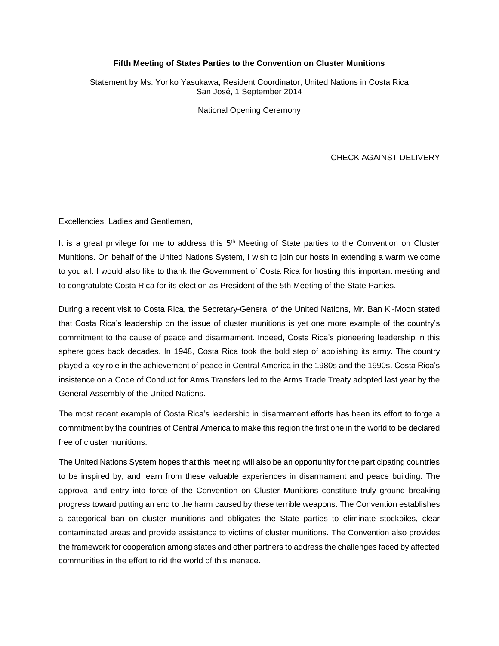## **Fifth Meeting of States Parties to the Convention on Cluster Munitions**

Statement by Ms. Yoriko Yasukawa, Resident Coordinator, United Nations in Costa Rica San José, 1 September 2014

National Opening Ceremony

## CHECK AGAINST DELIVERY

Excellencies, Ladies and Gentleman,

It is a great privilege for me to address this 5<sup>th</sup> Meeting of State parties to the Convention on Cluster Munitions. On behalf of the United Nations System, I wish to join our hosts in extending a warm welcome to you all. I would also like to thank the Government of Costa Rica for hosting this important meeting and to congratulate Costa Rica for its election as President of the 5th Meeting of the State Parties.

During a recent visit to Costa Rica, the Secretary-General of the United Nations, Mr. Ban Ki-Moon stated that Costa Rica's leadership on the issue of cluster munitions is yet one more example of the country's commitment to the cause of peace and disarmament. Indeed, Costa Rica's pioneering leadership in this sphere goes back decades. In 1948, Costa Rica took the bold step of abolishing its army. The country played a key role in the achievement of peace in Central America in the 1980s and the 1990s. Costa Rica's insistence on a Code of Conduct for Arms Transfers led to the Arms Trade Treaty adopted last year by the General Assembly of the United Nations.

The most recent example of Costa Rica's leadership in disarmament efforts has been its effort to forge a commitment by the countries of Central America to make this region the first one in the world to be declared free of cluster munitions.

The United Nations System hopes that this meeting will also be an opportunity for the participating countries to be inspired by, and learn from these valuable experiences in disarmament and peace building. The approval and entry into force of the Convention on Cluster Munitions constitute truly ground breaking progress toward putting an end to the harm caused by these terrible weapons. The Convention establishes a categorical ban on cluster munitions and obligates the State parties to eliminate stockpiles, clear contaminated areas and provide assistance to victims of cluster munitions. The Convention also provides the framework for cooperation among states and other partners to address the challenges faced by affected communities in the effort to rid the world of this menace.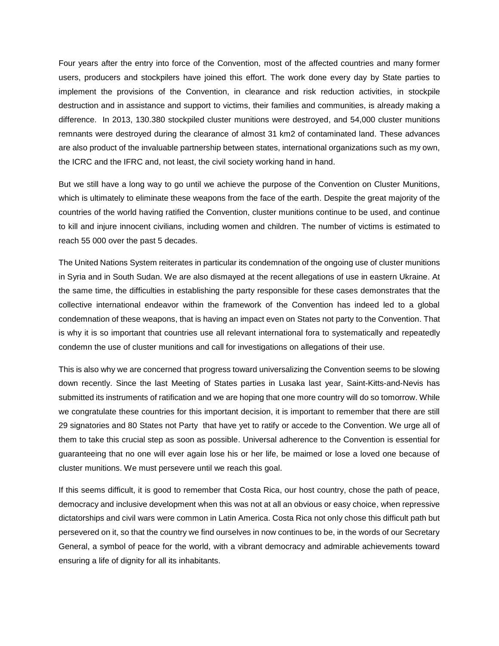Four years after the entry into force of the Convention, most of the affected countries and many former users, producers and stockpilers have joined this effort. The work done every day by State parties to implement the provisions of the Convention, in clearance and risk reduction activities, in stockpile destruction and in assistance and support to victims, their families and communities, is already making a difference. In 2013, 130.380 stockpiled cluster munitions were destroyed, and 54,000 cluster munitions remnants were destroyed during the clearance of almost 31 km2 of contaminated land. These advances are also product of the invaluable partnership between states, international organizations such as my own, the ICRC and the IFRC and, not least, the civil society working hand in hand.

But we still have a long way to go until we achieve the purpose of the Convention on Cluster Munitions, which is ultimately to eliminate these weapons from the face of the earth. Despite the great majority of the countries of the world having ratified the Convention, cluster munitions continue to be used, and continue to kill and injure innocent civilians, including women and children. The number of victims is estimated to reach 55 000 over the past 5 decades.

The United Nations System reiterates in particular its condemnation of the ongoing use of cluster munitions in Syria and in South Sudan. We are also dismayed at the recent allegations of use in eastern Ukraine. At the same time, the difficulties in establishing the party responsible for these cases demonstrates that the collective international endeavor within the framework of the Convention has indeed led to a global condemnation of these weapons, that is having an impact even on States not party to the Convention. That is why it is so important that countries use all relevant international fora to systematically and repeatedly condemn the use of cluster munitions and call for investigations on allegations of their use.

This is also why we are concerned that progress toward universalizing the Convention seems to be slowing down recently. Since the last Meeting of States parties in Lusaka last year, Saint-Kitts-and-Nevis has submitted its instruments of ratification and we are hoping that one more country will do so tomorrow. While we congratulate these countries for this important decision, it is important to remember that there are still 29 signatories and 80 States not Party that have yet to ratify or accede to the Convention. We urge all of them to take this crucial step as soon as possible. Universal adherence to the Convention is essential for guaranteeing that no one will ever again lose his or her life, be maimed or lose a loved one because of cluster munitions. We must persevere until we reach this goal.

If this seems difficult, it is good to remember that Costa Rica, our host country, chose the path of peace, democracy and inclusive development when this was not at all an obvious or easy choice, when repressive dictatorships and civil wars were common in Latin America. Costa Rica not only chose this difficult path but persevered on it, so that the country we find ourselves in now continues to be, in the words of our Secretary General, a symbol of peace for the world, with a vibrant democracy and admirable achievements toward ensuring a life of dignity for all its inhabitants.